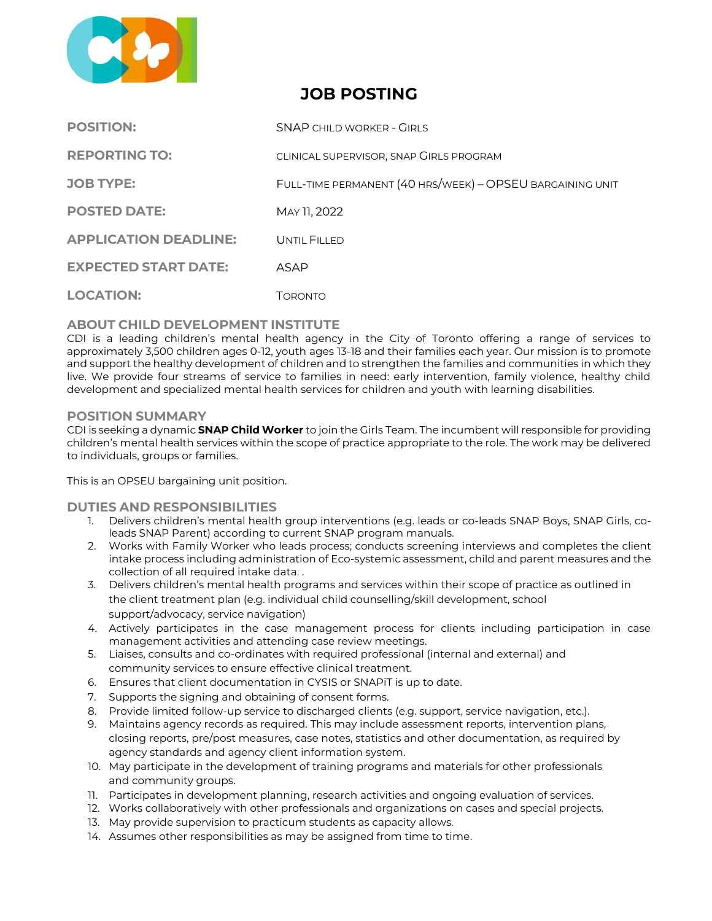

# **JOB POSTING**

| <b>POSITION:</b>             | <b>SNAP CHILD WORKER - GIRLS</b>                          |
|------------------------------|-----------------------------------------------------------|
| <b>REPORTING TO:</b>         | CLINICAL SUPERVISOR, SNAP GIRLS PROGRAM                   |
| <b>JOB TYPE:</b>             | FULL-TIME PERMANENT (40 HRS/WEEK) - OPSEU BARGAINING UNIT |
| <b>POSTED DATE:</b>          | MAY 11, 2022                                              |
| <b>APPLICATION DEADLINE:</b> | UNTIL FILLED                                              |
| <b>EXPECTED START DATE:</b>  | ASAP                                                      |
| <b>LOCATION:</b>             | Toronto                                                   |

# **ABOUT CHILD DEVELOPMENT INSTITUTE**

CDI is a leading children's mental health agency in the City of Toronto offering a range of services to approximately 3,500 children ages 0‐12, youth ages 13-18 and their families each year. Our mission is to promote and support the healthy development of children and to strengthen the families and communities in which they live. We provide four streams of service to families in need: early intervention, family violence, healthy child development and specialized mental health services for children and youth with learning disabilities.

## **POSITION SUMMARY**

CDI is seeking a dynamic **SNAP Child Worker** to join the Girls Team. The incumbent will responsible for providing children's mental health services within the scope of practice appropriate to the role. The work may be delivered to individuals, groups or families.

This is an OPSEU bargaining unit position.

#### **DUTIES AND RESPONSIBILITIES**

- 1. Delivers children's mental health group interventions (e.g. leads or co-leads SNAP Boys, SNAP Girls, coleads SNAP Parent) according to current SNAP program manuals.
- 2. Works with Family Worker who leads process; conducts screening interviews and completes the client intake process including administration of Eco-systemic assessment, child and parent measures and the collection of all required intake data. .
- 3. Delivers children's mental health programs and services within their scope of practice as outlined in the client treatment plan (e.g. individual child counselling/skill development, school support/advocacy, service navigation)
- 4. Actively participates in the case management process for clients including participation in case management activities and attending case review meetings.
- 5. Liaises, consults and co-ordinates with required professional (internal and external) and community services to ensure effective clinical treatment.
- 6. Ensures that client documentation in CYSIS or SNAPiT is up to date.
- 7. Supports the signing and obtaining of consent forms.
- 8. Provide limited follow-up service to discharged clients (e.g. support, service navigation, etc.).
- 9. Maintains agency records as required. This may include assessment reports, intervention plans, closing reports, pre/post measures, case notes, statistics and other documentation, as required by agency standards and agency client information system.
- 10. May participate in the development of training programs and materials for other professionals and community groups.
- 11. Participates in development planning, research activities and ongoing evaluation of services.
- 12. Works collaboratively with other professionals and organizations on cases and special projects.
- 13. May provide supervision to practicum students as capacity allows.
- 14. Assumes other responsibilities as may be assigned from time to time.